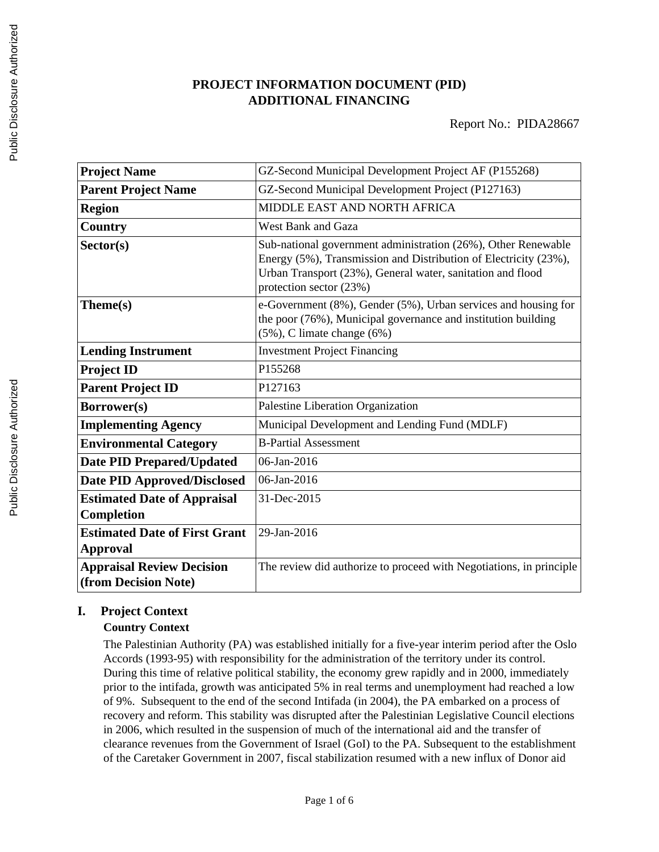# **PROJECT INFORMATION DOCUMENT (PID) ADDITIONAL FINANCING**

| <b>Project Name</b>                                      | GZ-Second Municipal Development Project AF (P155268)                                                                                                                                                                       |
|----------------------------------------------------------|----------------------------------------------------------------------------------------------------------------------------------------------------------------------------------------------------------------------------|
| <b>Parent Project Name</b>                               | GZ-Second Municipal Development Project (P127163)                                                                                                                                                                          |
| <b>Region</b>                                            | MIDDLE EAST AND NORTH AFRICA                                                                                                                                                                                               |
| Country                                                  | <b>West Bank and Gaza</b>                                                                                                                                                                                                  |
| Sector(s)                                                | Sub-national government administration (26%), Other Renewable<br>Energy (5%), Transmission and Distribution of Electricity (23%),<br>Urban Transport (23%), General water, sanitation and flood<br>protection sector (23%) |
| Theme(s)                                                 | e-Government (8%), Gender (5%), Urban services and housing for<br>the poor (76%), Municipal governance and institution building<br>$(5\%)$ , C limate change $(6\%)$                                                       |
| <b>Lending Instrument</b>                                | <b>Investment Project Financing</b>                                                                                                                                                                                        |
| <b>Project ID</b>                                        | P155268                                                                                                                                                                                                                    |
| <b>Parent Project ID</b>                                 | P127163                                                                                                                                                                                                                    |
| Borrower(s)                                              | Palestine Liberation Organization                                                                                                                                                                                          |
| <b>Implementing Agency</b>                               | Municipal Development and Lending Fund (MDLF)                                                                                                                                                                              |
| <b>Environmental Category</b>                            | <b>B-Partial Assessment</b>                                                                                                                                                                                                |
| <b>Date PID Prepared/Updated</b>                         | 06-Jan-2016                                                                                                                                                                                                                |
| <b>Date PID Approved/Disclosed</b>                       | 06-Jan-2016                                                                                                                                                                                                                |
| <b>Estimated Date of Appraisal</b><br>Completion         | 31-Dec-2015                                                                                                                                                                                                                |
| <b>Estimated Date of First Grant</b><br><b>Approval</b>  | 29-Jan-2016                                                                                                                                                                                                                |
| <b>Appraisal Review Decision</b><br>(from Decision Note) | The review did authorize to proceed with Negotiations, in principle                                                                                                                                                        |

# **I. Project Context**

# **Country Context**

The Palestinian Authority (PA) was established initially for a five-year interim period after the Oslo Accords (1993-95) with responsibility for the administration of the territory under its control. During this time of relative political stability, the economy grew rapidly and in 2000, immediately prior to the intifada, growth was anticipated 5% in real terms and unemployment had reached a low of 9%. Subsequent to the end of the second Intifada (in 2004), the PA embarked on a process of recovery and reform. This stability was disrupted after the Palestinian Legislative Council elections in 2006, which resulted in the suspension of much of the international aid and the transfer of clearance revenues from the Government of Israel (GoI) to the PA. Subsequent to the establishment of the Caretaker Government in 2007, fiscal stabilization resumed with a new influx of Donor aid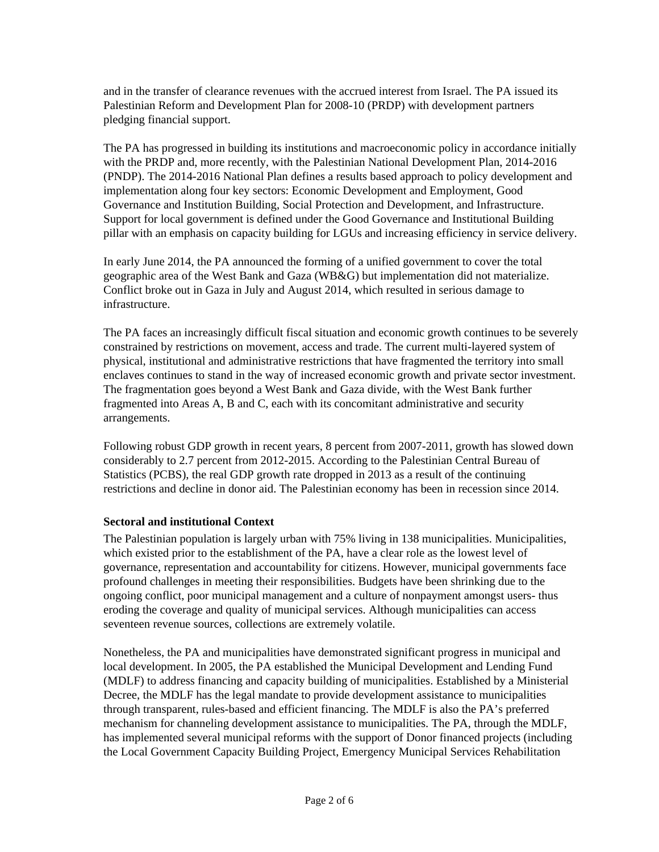and in the transfer of clearance revenues with the accrued interest from Israel. The PA issued its Palestinian Reform and Development Plan for 2008-10 (PRDP) with development partners pledging financial support.

The PA has progressed in building its institutions and macroeconomic policy in accordance initially with the PRDP and, more recently, with the Palestinian National Development Plan, 2014-2016 (PNDP). The 2014-2016 National Plan defines a results based approach to policy development and implementation along four key sectors: Economic Development and Employment, Good Governance and Institution Building, Social Protection and Development, and Infrastructure. Support for local government is defined under the Good Governance and Institutional Building pillar with an emphasis on capacity building for LGUs and increasing efficiency in service delivery.

In early June 2014, the PA announced the forming of a unified government to cover the total geographic area of the West Bank and Gaza (WB&G) but implementation did not materialize. Conflict broke out in Gaza in July and August 2014, which resulted in serious damage to infrastructure.

The PA faces an increasingly difficult fiscal situation and economic growth continues to be severely constrained by restrictions on movement, access and trade. The current multi-layered system of physical, institutional and administrative restrictions that have fragmented the territory into small enclaves continues to stand in the way of increased economic growth and private sector investment. The fragmentation goes beyond a West Bank and Gaza divide, with the West Bank further fragmented into Areas A, B and C, each with its concomitant administrative and security arrangements.

Following robust GDP growth in recent years, 8 percent from 2007-2011, growth has slowed down considerably to 2.7 percent from 2012-2015. According to the Palestinian Central Bureau of Statistics (PCBS), the real GDP growth rate dropped in 2013 as a result of the continuing restrictions and decline in donor aid. The Palestinian economy has been in recession since 2014.

#### **Sectoral and institutional Context**

The Palestinian population is largely urban with 75% living in 138 municipalities. Municipalities, which existed prior to the establishment of the PA, have a clear role as the lowest level of governance, representation and accountability for citizens. However, municipal governments face profound challenges in meeting their responsibilities. Budgets have been shrinking due to the ongoing conflict, poor municipal management and a culture of nonpayment amongst users- thus eroding the coverage and quality of municipal services. Although municipalities can access seventeen revenue sources, collections are extremely volatile.

Nonetheless, the PA and municipalities have demonstrated significant progress in municipal and local development. In 2005, the PA established the Municipal Development and Lending Fund (MDLF) to address financing and capacity building of municipalities. Established by a Ministerial Decree, the MDLF has the legal mandate to provide development assistance to municipalities through transparent, rules-based and efficient financing. The MDLF is also the PA's preferred mechanism for channeling development assistance to municipalities. The PA, through the MDLF, has implemented several municipal reforms with the support of Donor financed projects (including the Local Government Capacity Building Project, Emergency Municipal Services Rehabilitation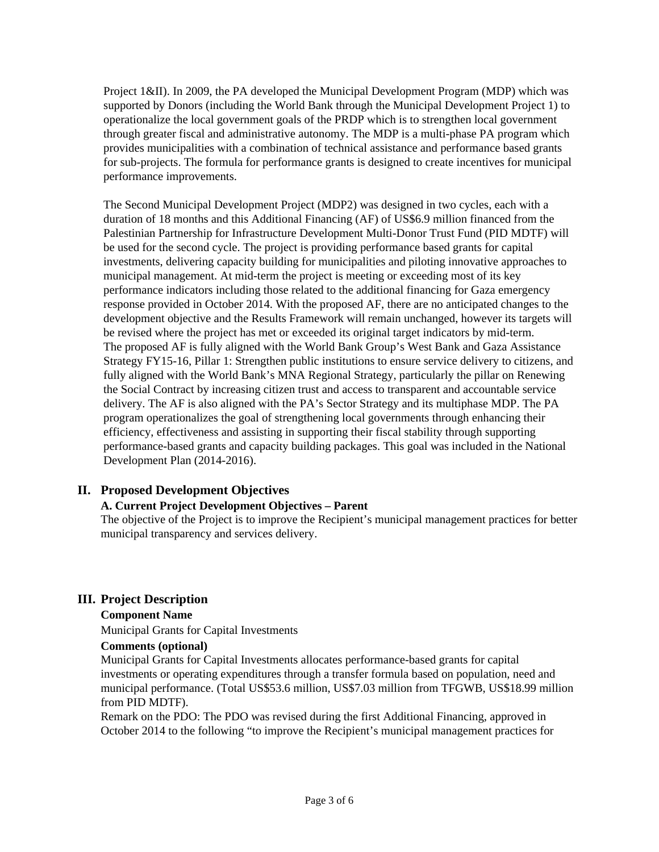Project 1&II). In 2009, the PA developed the Municipal Development Program (MDP) which was supported by Donors (including the World Bank through the Municipal Development Project 1) to operationalize the local government goals of the PRDP which is to strengthen local government through greater fiscal and administrative autonomy. The MDP is a multi-phase PA program which provides municipalities with a combination of technical assistance and performance based grants for sub-projects. The formula for performance grants is designed to create incentives for municipal performance improvements.

The Second Municipal Development Project (MDP2) was designed in two cycles, each with a duration of 18 months and this Additional Financing (AF) of US\$6.9 million financed from the Palestinian Partnership for Infrastructure Development Multi-Donor Trust Fund (PID MDTF) will be used for the second cycle. The project is providing performance based grants for capital investments, delivering capacity building for municipalities and piloting innovative approaches to municipal management. At mid-term the project is meeting or exceeding most of its key performance indicators including those related to the additional financing for Gaza emergency response provided in October 2014. With the proposed AF, there are no anticipated changes to the development objective and the Results Framework will remain unchanged, however its targets will be revised where the project has met or exceeded its original target indicators by mid-term. The proposed AF is fully aligned with the World Bank Group's West Bank and Gaza Assistance Strategy FY15-16, Pillar 1: Strengthen public institutions to ensure service delivery to citizens, and fully aligned with the World Bank's MNA Regional Strategy, particularly the pillar on Renewing the Social Contract by increasing citizen trust and access to transparent and accountable service delivery. The AF is also aligned with the PA's Sector Strategy and its multiphase MDP. The PA program operationalizes the goal of strengthening local governments through enhancing their efficiency, effectiveness and assisting in supporting their fiscal stability through supporting performance-based grants and capacity building packages. This goal was included in the National Development Plan (2014-2016).

### **II. Proposed Development Objectives**

### **A. Current Project Development Objectives – Parent**

The objective of the Project is to improve the Recipient's municipal management practices for better municipal transparency and services delivery.

### **III. Project Description**

### **Component Name**

Municipal Grants for Capital Investments

### **Comments (optional)**

Municipal Grants for Capital Investments allocates performance-based grants for capital investments or operating expenditures through a transfer formula based on population, need and municipal performance. (Total US\$53.6 million, US\$7.03 million from TFGWB, US\$18.99 million from PID MDTF).

Remark on the PDO: The PDO was revised during the first Additional Financing, approved in October 2014 to the following "to improve the Recipient's municipal management practices for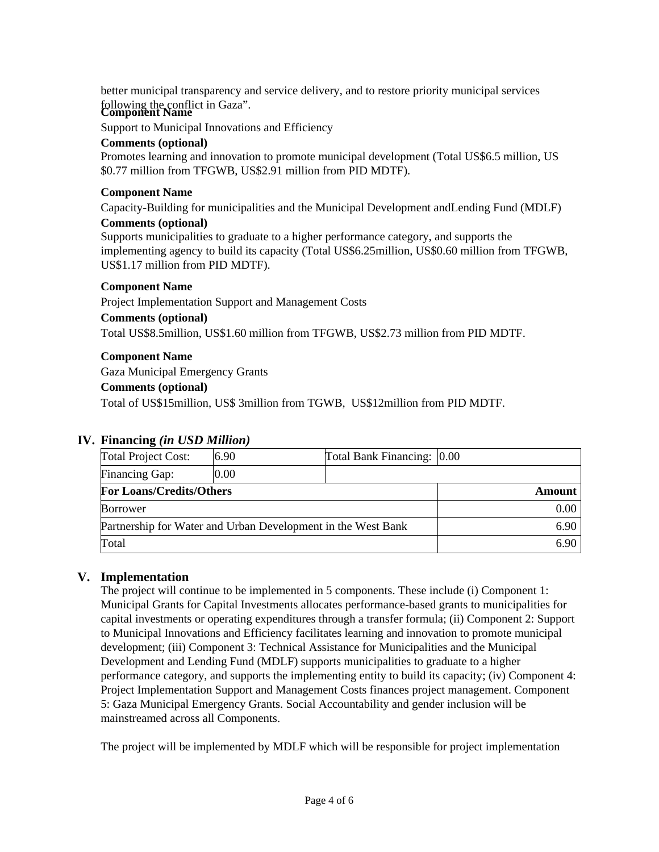better municipal transparency and service delivery, and to restore priority municipal services following the conflict in Gaza". **Component Name**

Support to Municipal Innovations and Efficiency

#### **Comments (optional)**

Promotes learning and innovation to promote municipal development (Total US\$6.5 million, US \$0.77 million from TFGWB, US\$2.91 million from PID MDTF).

#### **Component Name**

Capacity-Building for municipalities and the Municipal Development andLending Fund (MDLF)

#### **Comments (optional)**

Supports municipalities to graduate to a higher performance category, and supports the implementing agency to build its capacity (Total US\$6.25million, US\$0.60 million from TFGWB, US\$1.17 million from PID MDTF).

#### **Component Name**

Project Implementation Support and Management Costs

#### **Comments (optional)**

Total US\$8.5million, US\$1.60 million from TFGWB, US\$2.73 million from PID MDTF.

#### **Component Name**

Gaza Municipal Emergency Grants

#### **Comments (optional)**

Total of US\$15million, US\$ 3million from TGWB, US\$12million from PID MDTF.

### **IV. Financing** *(in USD Million)*

| <b>Total Project Cost:</b>                                   | 6.90 | Total Bank Financing: 0.00 |  |
|--------------------------------------------------------------|------|----------------------------|--|
| Financing Gap:                                               | 0.00 |                            |  |
| <b>For Loans/Credits/Others</b>                              |      | Amount                     |  |
| <b>Borrower</b>                                              |      | $0.00\,$                   |  |
| Partnership for Water and Urban Development in the West Bank |      | 6.90                       |  |
| Total                                                        |      | 6.90                       |  |

### **V. Implementation**

The project will continue to be implemented in 5 components. These include (i) Component 1: Municipal Grants for Capital Investments allocates performance-based grants to municipalities for capital investments or operating expenditures through a transfer formula; (ii) Component 2: Support to Municipal Innovations and Efficiency facilitates learning and innovation to promote municipal development; (iii) Component 3: Technical Assistance for Municipalities and the Municipal Development and Lending Fund (MDLF) supports municipalities to graduate to a higher performance category, and supports the implementing entity to build its capacity; (iv) Component 4: Project Implementation Support and Management Costs finances project management. Component 5: Gaza Municipal Emergency Grants. Social Accountability and gender inclusion will be mainstreamed across all Components.

The project will be implemented by MDLF which will be responsible for project implementation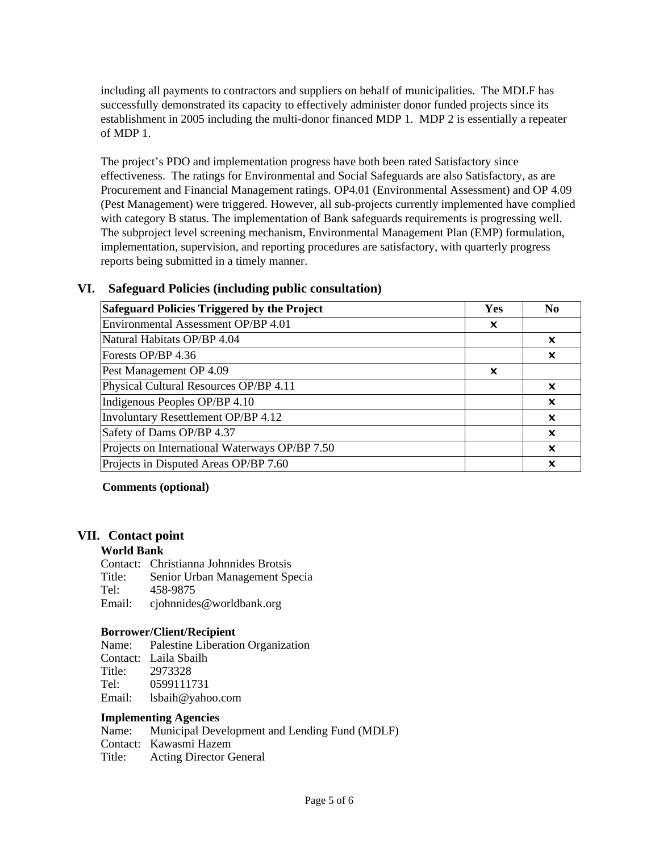including all payments to contractors and suppliers on behalf of municipalities. The MDLF has successfully demonstrated its capacity to effectively administer donor funded projects since its establishment in 2005 including the multi-donor financed MDP 1. MDP 2 is essentially a repeater of MDP 1.

The project's PDO and implementation progress have both been rated Satisfactory since effectiveness. The ratings for Environmental and Social Safeguards are also Satisfactory, as are Procurement and Financial Management ratings. OP4.01 (Environmental Assessment) and OP 4.09 (Pest Management) were triggered. However, all sub-projects currently implemented have complied with category B status. The implementation of Bank safeguards requirements is progressing well. The subproject level screening mechanism, Environmental Management Plan (EMP) formulation, implementation, supervision, and reporting procedures are satisfactory, with quarterly progress reports being submitted in a timely manner.

## **VI. Safeguard Policies (including public consultation)**

| Safeguard Policies Triggered by the Project    | Yes | N <sub>0</sub>            |
|------------------------------------------------|-----|---------------------------|
| Environmental Assessment OP/BP 4.01            | x   |                           |
| Natural Habitats OP/BP 4.04                    |     | ×                         |
| Forests OP/BP 4.36                             |     | x                         |
| Pest Management OP 4.09                        | ×   |                           |
| Physical Cultural Resources OP/BP 4.11         |     | x                         |
| Indigenous Peoples OP/BP 4.10                  |     | $\boldsymbol{\mathsf{x}}$ |
| Involuntary Resettlement OP/BP 4.12            |     | ×                         |
| Safety of Dams OP/BP 4.37                      |     | ×                         |
| Projects on International Waterways OP/BP 7.50 |     | ×                         |
| Projects in Disputed Areas OP/BP 7.60          |     | x                         |

**Comments (optional)**

### **VII. Contact point**

#### **World Bank**

Contact: Christianna Johnnides Brotsis Title: Senior Urban Management Specia Tel: 458-9875 Email: cjohnnides@worldbank.org

#### **Borrower/Client/Recipient**

Name: Palestine Liberation Organization Contact: Laila Sbailh Title: 2973328 Tel: 0599111731 Email: lsbaih@yahoo.com

#### **Implementing Agencies**

| Name:  | Municipal Development and Lending Fund (MDLF) |
|--------|-----------------------------------------------|
|        | Contact: Kawasmi Hazem                        |
| Title: | <b>Acting Director General</b>                |